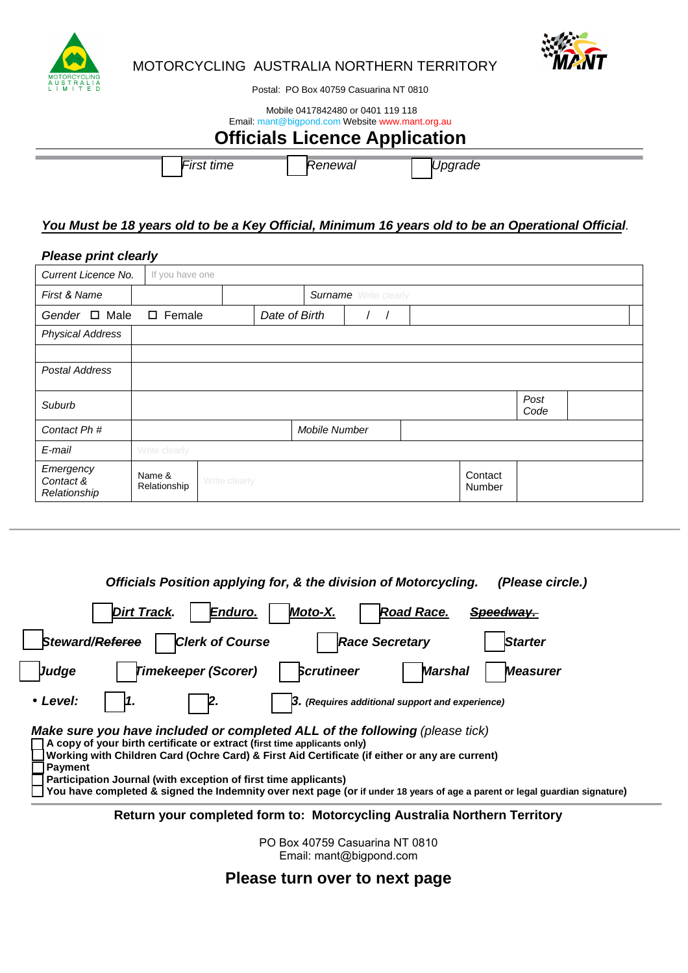



# MOTORCYCLING AUSTRALIA NORTHERN TERRITORY

Postal: PO Box 40759 Casuarina NT 0810

## Mobile 0417842480 or 0401 119 118 Email: mant@bigpond.com Website www.mant.org.au

# **Officials Licence Application**

First time Renewal Vpgrade

# **You Must be 18 years old to be a Key Official, Minimum 16 years old to be an Operational Official**.

# **Please print clearly**

| Current Licence No.                    | If you have one        |               |  |                              |  |  |                   |  |  |
|----------------------------------------|------------------------|---------------|--|------------------------------|--|--|-------------------|--|--|
| First & Name                           |                        |               |  | <b>Surname</b> Write clearly |  |  |                   |  |  |
| Gender $\Box$ Male<br>$\square$ Female |                        |               |  | Date of Birth                |  |  |                   |  |  |
| <b>Physical Address</b>                |                        |               |  |                              |  |  |                   |  |  |
|                                        |                        |               |  |                              |  |  |                   |  |  |
| <b>Postal Address</b>                  |                        |               |  |                              |  |  |                   |  |  |
| Suburb                                 | Post<br>Code           |               |  |                              |  |  |                   |  |  |
| Contact Ph <sup>#</sup>                |                        |               |  | Mobile Number                |  |  |                   |  |  |
| E-mail                                 | Write clearly          |               |  |                              |  |  |                   |  |  |
| Emergency<br>Contact &<br>Relationship | Name &<br>Relationship | Write clearly |  |                              |  |  | Contact<br>Number |  |  |

**Officials Position applying for, & the division of Motorcycling. (Please circle.)** 

| <b>Dirt Track.</b><br>Enduro.<br>Moto-X.<br><b>Road Race.</b><br>Speedway.                                                                                                                                                                                                                                                                                                                                                                                                    |  |  |  |  |  |  |  |
|-------------------------------------------------------------------------------------------------------------------------------------------------------------------------------------------------------------------------------------------------------------------------------------------------------------------------------------------------------------------------------------------------------------------------------------------------------------------------------|--|--|--|--|--|--|--|
| Steward/Referee<br><b>Clerk of Course</b><br><b>Race Secretary</b><br><b>Starter</b>                                                                                                                                                                                                                                                                                                                                                                                          |  |  |  |  |  |  |  |
| <b>Scrutineer</b><br><b>Timekeeper (Scorer)</b><br>Judge<br><b>Marshal</b><br><b>Measurer</b>                                                                                                                                                                                                                                                                                                                                                                                 |  |  |  |  |  |  |  |
| • Level:<br>3. (Requires additional support and experience)                                                                                                                                                                                                                                                                                                                                                                                                                   |  |  |  |  |  |  |  |
| Make sure you have included or completed ALL of the following (please tick)<br>A copy of your birth certificate or extract (first time applicants only)<br>Working with Children Card (Ochre Card) & First Aid Certificate (if either or any are current)<br><b>Payment</b><br>Participation Journal (with exception of first time applicants)<br>You have completed & signed the Indemnity over next page (or if under 18 years of age a parent or legal guardian signature) |  |  |  |  |  |  |  |
| Return your completed form to: Motorcycling Australia Northern Territory                                                                                                                                                                                                                                                                                                                                                                                                      |  |  |  |  |  |  |  |

PO Box 40759 Casuarina NT 0810 Email: mant@bigpond.com

# **Please turn over to next page**